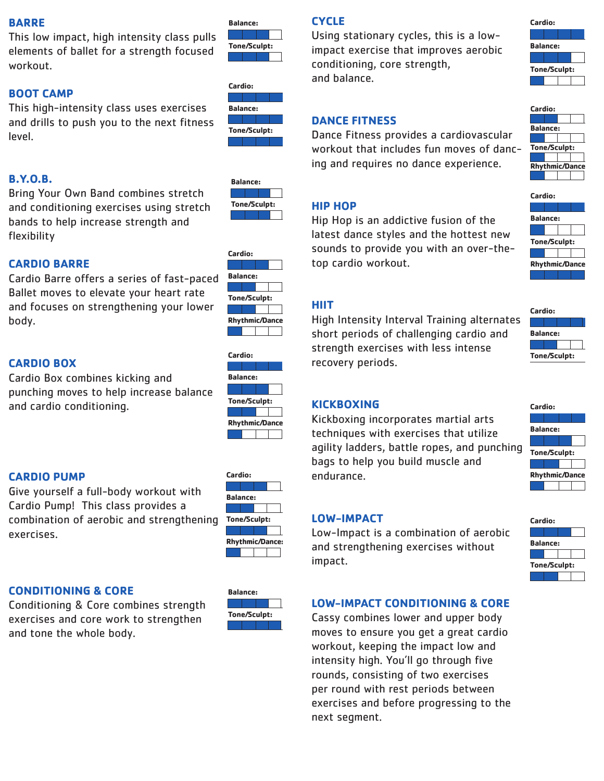#### **BARRE**

This low impact, high intensity class pulls elements of ballet for a strength focused workout.

#### **BOOT CAMP**

This high-intensity class uses exercises and drills to push you to the next fitness level.



**Tone/Sculpt:**

**Balance:**



### **B.Y.O.B.**

Bring Your Own Band combines stretch and conditioning exercises using stretch bands to help increase strength and flexibility



**Cardio:**

**Balance:**

**Tone/Sculpt:**

**Rhythmic/Dance:**

# **CARDIO BARRE**

Cardio Barre offers a series of fast-paced Ballet moves to elevate your heart rate and focuses on strengthening your lower body.

## **CARDIO BOX**

Cardio Box combines kicking and punching moves to help increase balance and cardio conditioning.



#### **CARDIO PUMP**

Give yourself a full-body workout with Cardio Pump! This class provides a combination of aerobic and strengthening exercises.

| Cardio:                |  |  |  |  |
|------------------------|--|--|--|--|
|                        |  |  |  |  |
| Balance:               |  |  |  |  |
|                        |  |  |  |  |
|                        |  |  |  |  |
| Tone/Sculpt:           |  |  |  |  |
|                        |  |  |  |  |
| <b>Rhythmic/Dance:</b> |  |  |  |  |

#### **CONDITIONING & CORE**

Conditioning & Core combines strength exercises and core work to strengthen and tone the whole body.



# **CYCLE**

Using stationary cycles, this is a lowimpact exercise that improves aerobic conditioning, core strength, and balance.



#### **DANCE FITNESS**

Dance Fitness provides a cardiovascular workout that includes fun moves of dancing and requires no dance experience.



Hip Hop is an addictive fusion of the latest dance styles and the hottest new sounds to provide you with an over-thetop cardio workout.

## **HIIT**

High Intensity Interval Training alternates short periods of challenging cardio and strength exercises with less intense recovery periods.

#### **KICKBOXING**

Kickboxing incorporates martial arts techniques with exercises that utilize agility ladders, battle ropes, and punching bags to help you build muscle and endurance.

#### **LOW-IMPACT**

Low-Impact is a combination of aerobic and strengthening exercises without impact.

#### **LOW-IMPACT CONDITIONING & CORE**

Cassy combines lower and upper body moves to ensure you get a great cardio workout, keeping the impact low and intensity high. You'll go through five rounds, consisting of two exercises per round with rest periods between exercises and before progressing to the next segment.

| <b>Balance:</b>     |                       |
|---------------------|-----------------------|
|                     |                       |
| <b>Tone/Sculpt:</b> |                       |
|                     |                       |
|                     | <b>Rhythmic/Dance</b> |
|                     |                       |
|                     |                       |
|                     |                       |
| Cardio:             |                       |

**Cardio:**





| Cardio:               |                 |  |  |  |  |
|-----------------------|-----------------|--|--|--|--|
|                       |                 |  |  |  |  |
|                       | <b>Balance:</b> |  |  |  |  |
|                       |                 |  |  |  |  |
| Tone/Sculpt:          |                 |  |  |  |  |
|                       |                 |  |  |  |  |
|                       |                 |  |  |  |  |
| <b>Rhythmic/Dance</b> |                 |  |  |  |  |

| Cardio: |                     |  |  |  |  |
|---------|---------------------|--|--|--|--|
|         |                     |  |  |  |  |
|         | <b>Balance:</b>     |  |  |  |  |
|         |                     |  |  |  |  |
|         | <b>Tone/Sculpt:</b> |  |  |  |  |
|         |                     |  |  |  |  |